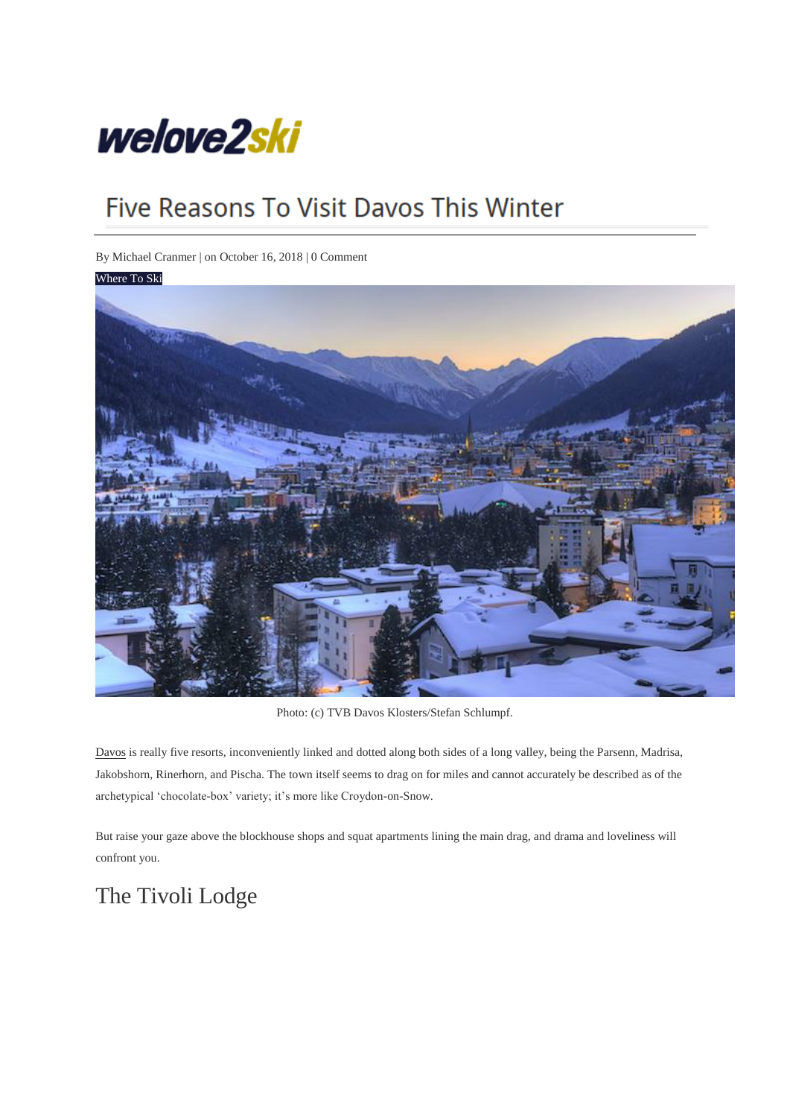

# Five Reasons To Visit Davos This Winter

By [Michael Cranmer](http://welove2ski.com/author/michael-cranmer/) | on October 16, 2018 | [0 Comment](http://welove2ski.com/where-to-ski/reasons-to-visit-davos#respond)



Photo: (c) TVB Davos Klosters/Stefan Schlumpf.

[Davos](http://welove2ski.com/davos) is really five resorts, inconveniently linked and dotted along both sides of a long valley, being the Parsenn, Madrisa, Jakobshorn, Rinerhorn, and Pischa. The town itself seems to drag on for miles and cannot accurately be described as of the archetypical 'chocolate-box' variety; it's more like Croydon-on-Snow.

But raise your gaze above the blockhouse shops and squat apartments lining the main drag, and drama and loveliness will confront you.

### The Tivoli Lodge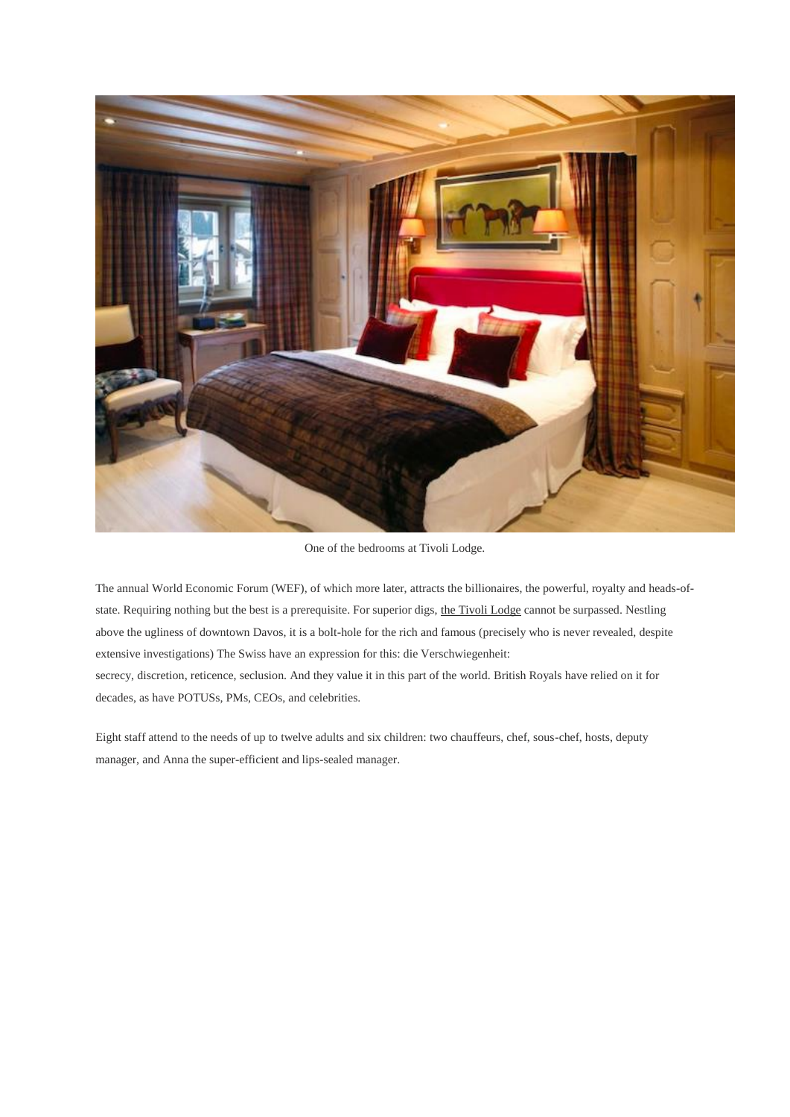

One of the bedrooms at Tivoli Lodge.

The annual World Economic Forum (WEF), of which more later, attracts the billionaires, the powerful, royalty and heads-ofstate. Requiring nothing but the best is a prerequisite. For superior digs, [the Tivoli Lodge](http://www.skiinluxury.com/switzerland/davos/tivoli-lodge?WL2S) cannot be surpassed. Nestling above the ugliness of downtown Davos, it is a bolt-hole for the rich and famous (precisely who is never revealed, despite extensive investigations) The Swiss have an expression for this: die Verschwiegenheit: secrecy, discretion, reticence, seclusion. And they value it in this part of the world. British Royals have relied on it for decades, as have POTUSs, PMs, CEOs, and celebrities.

Eight staff attend to the needs of up to twelve adults and six children: two chauffeurs, chef, sous-chef, hosts, deputy manager, and Anna the super-efficient and lips-sealed manager.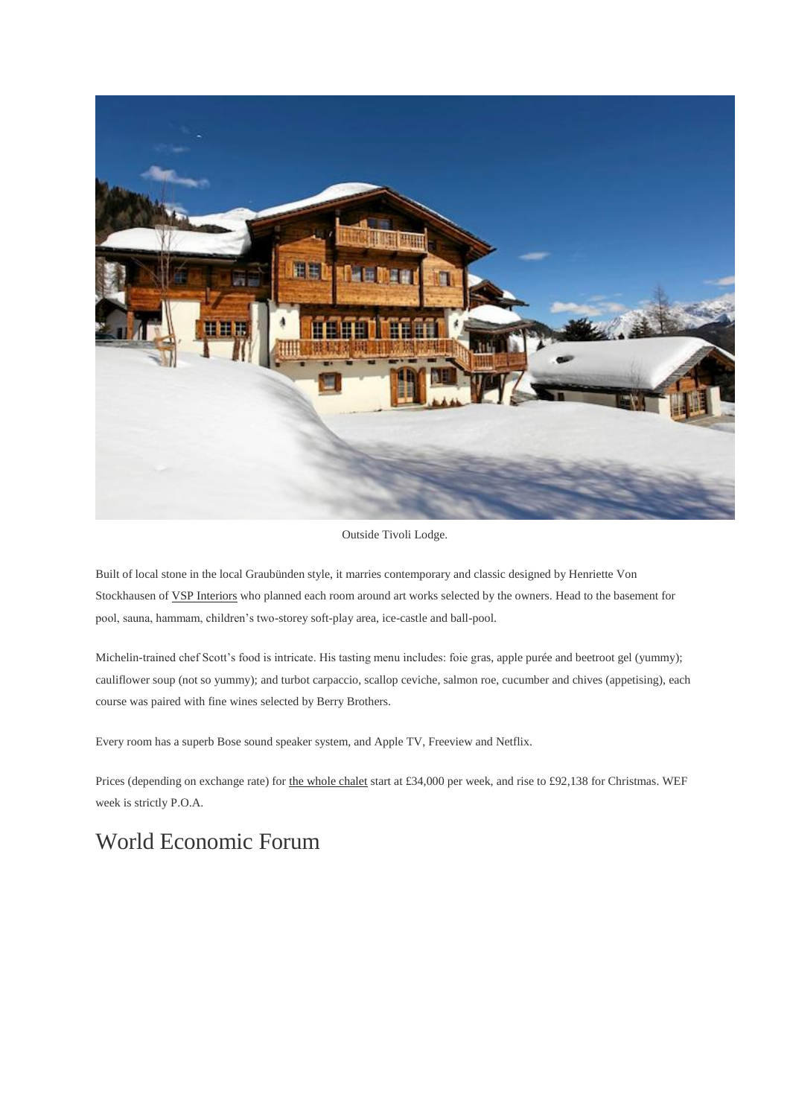

Outside Tivoli Lodge.

Built of local stone in the local Graubünden style, it marries contemporary and classic designed by Henriette Von Stockhausen o[f VSP Interiors](http://www.vspinteriors.com/) who planned each room around art works selected by the owners. Head to the basement for pool, sauna, hammam, children's two-storey soft-play area, ice-castle and ball-pool.

Michelin-trained chef Scott's food is intricate. His tasting menu includes: foie gras, apple purée and beetroot gel (yummy); cauliflower soup (not so yummy); and turbot carpaccio, scallop ceviche, salmon roe, cucumber and chives (appetising), each course was paired with fine wines selected by Berry Brothers.

Every room has a superb Bose sound speaker system, and Apple TV, Freeview and Netflix.

Prices (depending on exchange rate) for [the whole chalet](http://www.skiinluxury.com/switzerland/davos/tivoli-lodge?WL2S) start at £34,000 per week, and rise to £92,138 for Christmas. WEF week is strictly P.O.A.

### World Economic Forum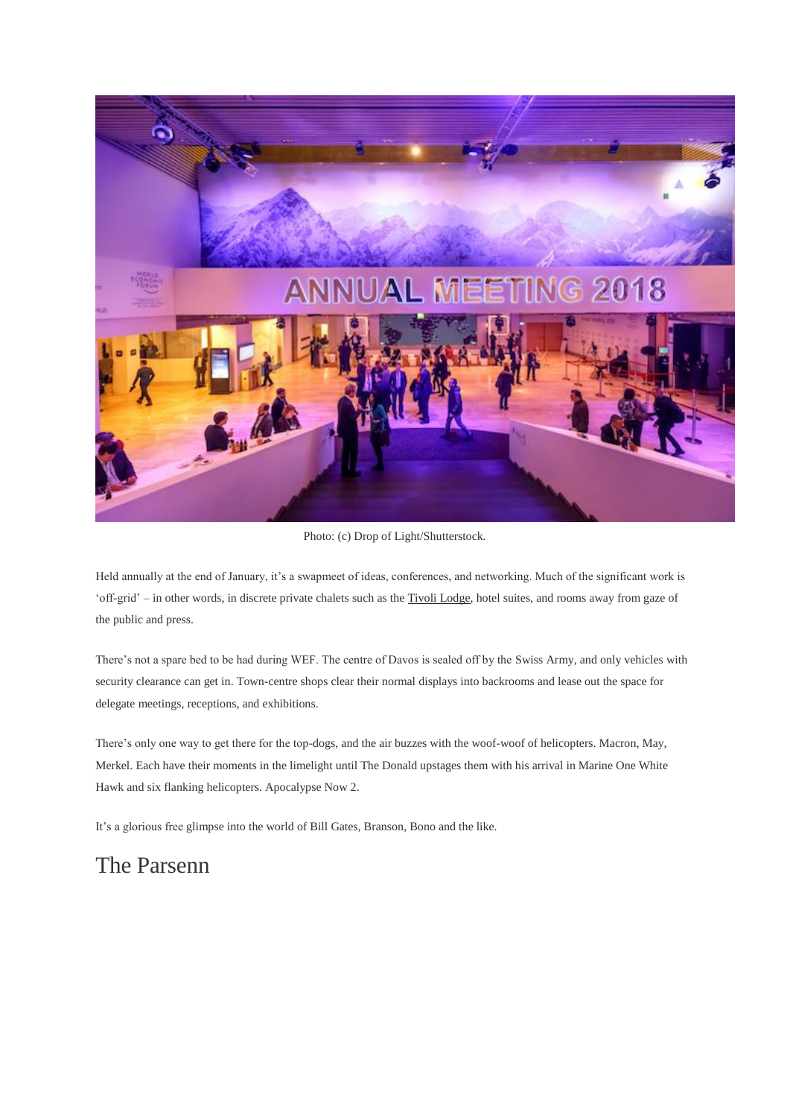

Photo: (c) Drop of Light/Shutterstock.

Held annually at the end of January, it's a swapmeet of ideas, conferences, and networking. Much of the significant work is 'off-grid' – in other words, in discrete private chalets such as th[e Tivoli Lodge,](http://www.skiinluxury.com/switzerland/davos/tivoli-lodge?WL2S) hotel suites, and rooms away from gaze of the public and press.

There's not a spare bed to be had during WEF. The centre of Davos is sealed off by the Swiss Army, and only vehicles with security clearance can get in. Town-centre shops clear their normal displays into backrooms and lease out the space for delegate meetings, receptions, and exhibitions.

There's only one way to get there for the top-dogs, and the air buzzes with the woof-woof of helicopters. Macron, May, Merkel. Each have their moments in the limelight until The Donald upstages them with his arrival in Marine One White Hawk and six flanking helicopters. Apocalypse Now 2.

It's a glorious free glimpse into the world of Bill Gates, Branson, Bono and the like.

#### The Parsenn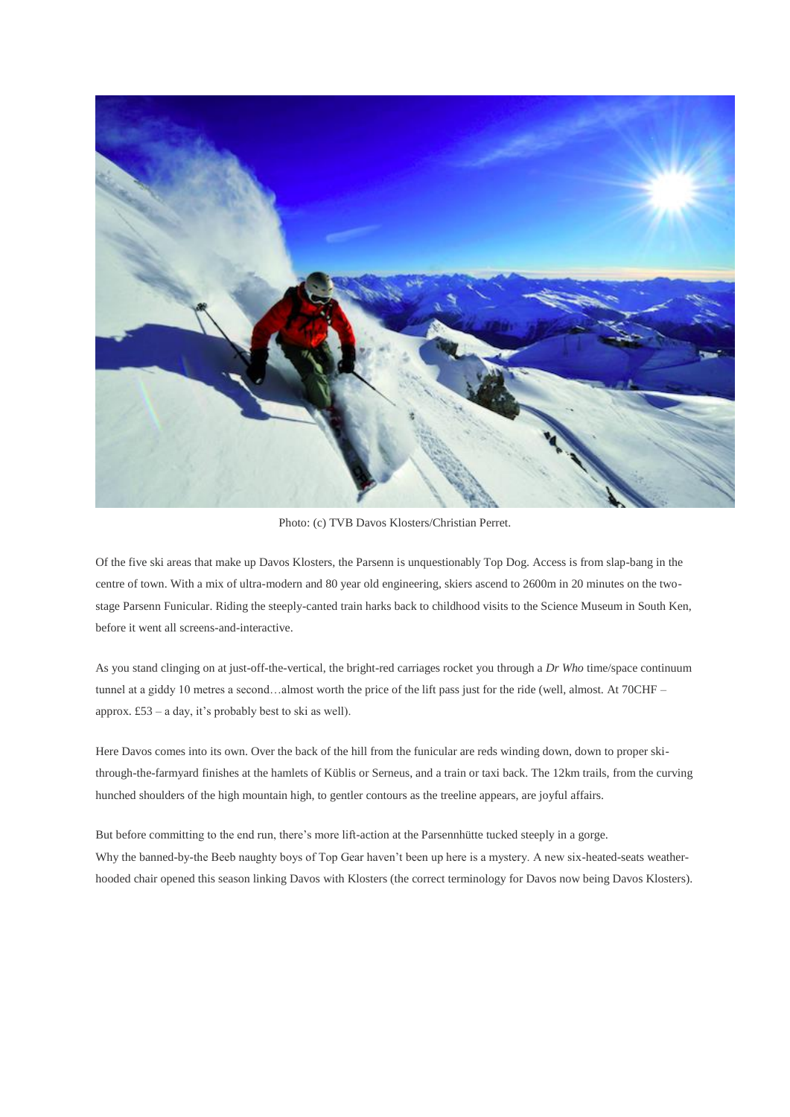

Photo: (c) TVB Davos Klosters/Christian Perret.

Of the five ski areas that make up Davos Klosters, the Parsenn is unquestionably Top Dog. Access is from slap-bang in the centre of town. With a mix of ultra-modern and 80 year old engineering, skiers ascend to 2600m in 20 minutes on the twostage Parsenn Funicular. Riding the steeply-canted train harks back to childhood visits to the Science Museum in South Ken, before it went all screens-and-interactive.

As you stand clinging on at just-off-the-vertical, the bright-red carriages rocket you through a *Dr Who* time/space continuum tunnel at a giddy 10 metres a second…almost worth the price of the lift pass just for the ride (well, almost. At 70CHF – approx. £53 – a day, it's probably best to ski as well).

Here Davos comes into its own. Over the back of the hill from the funicular are reds winding down, down to proper skithrough-the-farmyard finishes at the hamlets of Küblis or Serneus, and a train or taxi back. The 12km trails, from the curving hunched shoulders of the high mountain high, to gentler contours as the treeline appears, are joyful affairs.

But before committing to the end run, there's more lift-action at the Parsennhütte tucked steeply in a gorge. Why the banned-by-the Beeb naughty boys of Top Gear haven't been up here is a mystery. A new six-heated-seats weatherhooded chair opened this season linking Davos with Klosters (the correct terminology for Davos now being Davos Klosters).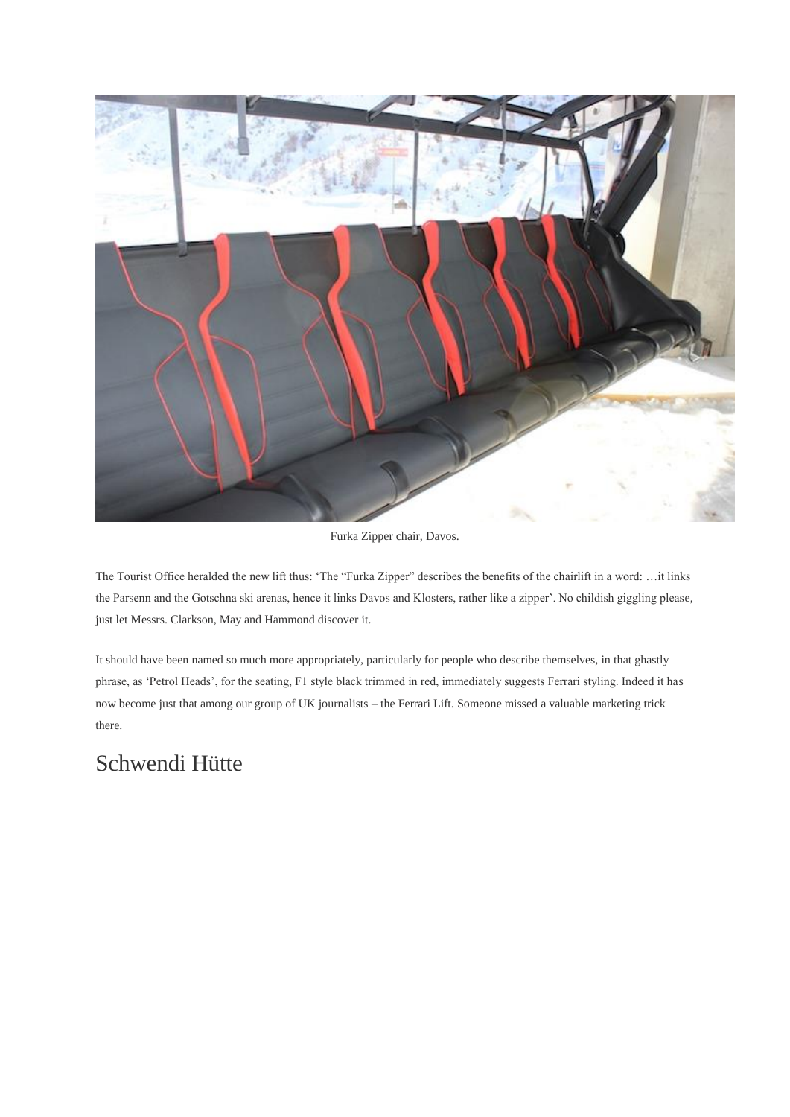

Furka Zipper chair, Davos.

The Tourist Office heralded the new lift thus: 'The "Furka Zipper" describes the benefits of the chairlift in a word: …it links the Parsenn and the Gotschna ski arenas, hence it links Davos and Klosters, rather like a zipper'. No childish giggling please, just let Messrs. Clarkson, May and Hammond discover it.

It should have been named so much more appropriately, particularly for people who describe themselves, in that ghastly phrase, as 'Petrol Heads', for the seating, F1 style black trimmed in red, immediately suggests Ferrari styling. Indeed it has now become just that among our group of UK journalists – the Ferrari Lift. Someone missed a valuable marketing trick there.

### Schwendi Hütte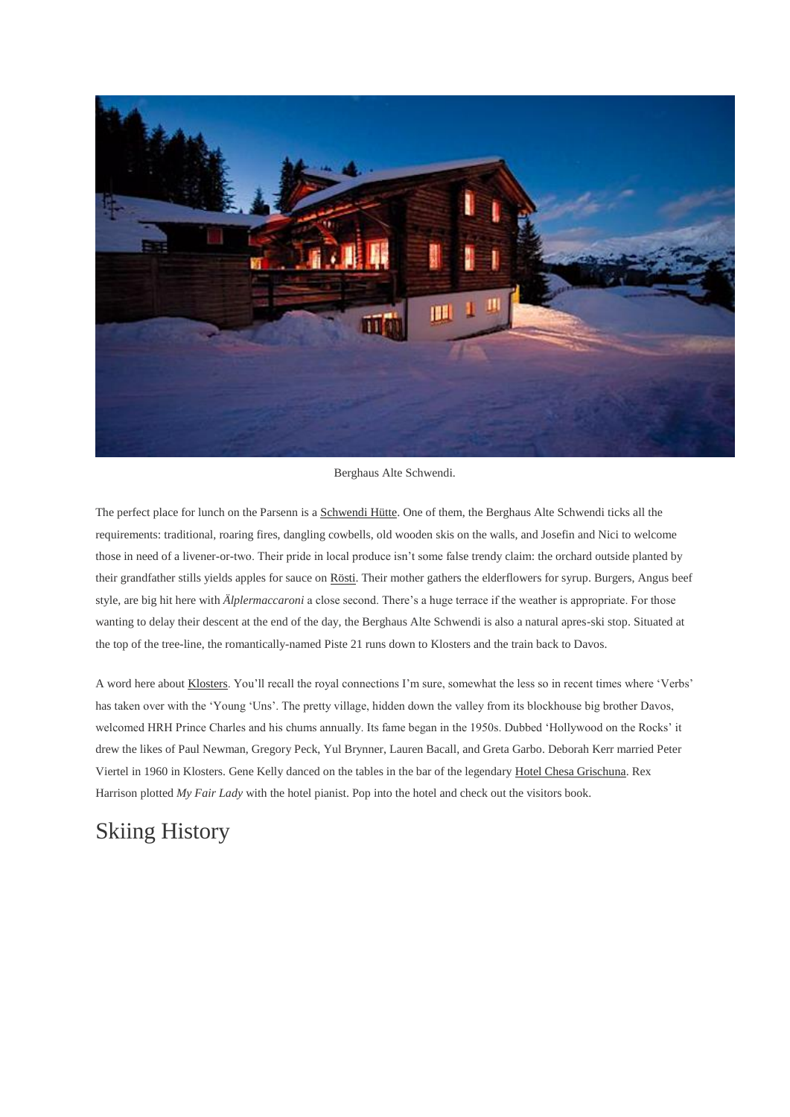

Berghaus Alte Schwendi.

The perfect place for lunch on the Parsenn is [a Schwendi Hütte.](http://www.schwendi-klosters.ch/) One of them, the Berghaus Alte Schwendi ticks all the requirements: traditional, roaring fires, dangling cowbells, old wooden skis on the walls, and Josefin and Nici to welcome those in need of a livener-or-two. Their pride in local produce isn't some false trendy claim: the orchard outside planted by their grandfather stills yields apples for sauce on [Rösti.](http://welove2ski.com/swiss-cooking) Their mother gathers the elderflowers for syrup. Burgers, Angus beef style, are big hit here with *Älplermaccaroni* a close second. There's a huge terrace if the weather is appropriate. For those wanting to delay their descent at the end of the day, the Berghaus Alte Schwendi is also a natural apres-ski stop. Situated at the top of the tree-line, the romantically-named Piste 21 runs down to Klosters and the train back to Davos.

A word here abou[t Klosters.](http://welove2ski.com/klosters) You'll recall the royal connections I'm sure, somewhat the less so in recent times where 'Verbs' has taken over with the 'Young 'Uns'. The pretty village, hidden down the valley from its blockhouse big brother Davos, welcomed HRH Prince Charles and his chums annually. Its fame began in the 1950s. Dubbed 'Hollywood on the Rocks' it drew the likes of Paul Newman, Gregory Peck, Yul Brynner, Lauren Bacall, and Greta Garbo. Deborah Kerr married Peter Viertel in 1960 in Klosters. Gene Kelly danced on the tables in the bar of the legendary [Hotel Chesa Grischuna.](https://www.booking.com/hotel/ch/chesa-grischuna.en.html?aid=1522172&no_rooms=1&group_adults=2&room1=A%2CA) Rex Harrison plotted *My Fair Lady* with the hotel pianist. Pop into the hotel and check out the visitors book.

## Skiing History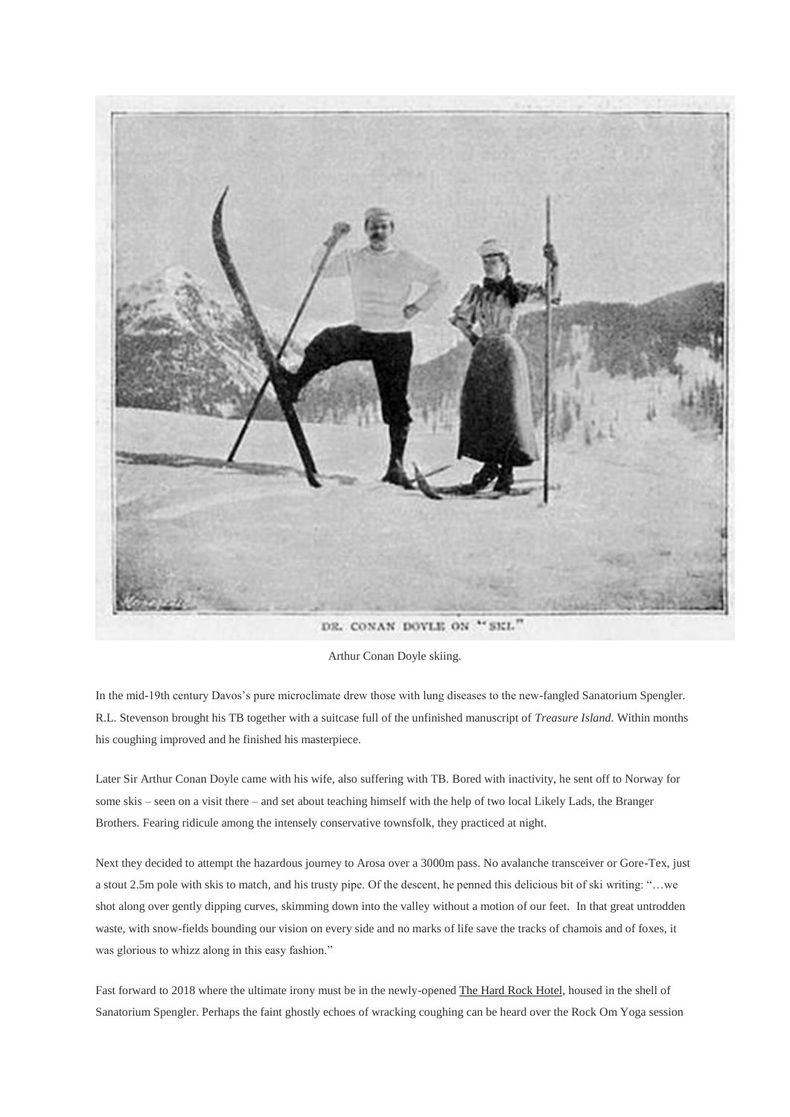

Arthur Conan Doyle skiing.

In the mid-19th century Davos's pure microclimate drew those with lung diseases to the new-fangled Sanatorium Spengler. R.L. Stevenson brought his TB together with a suitcase full of the unfinished manuscript of *Treasure Island*. Within months his coughing improved and he finished his masterpiece.

Later Sir Arthur Conan Doyle came with his wife, also suffering with TB. Bored with inactivity, he sent off to Norway for some skis – seen on a visit there – and set about teaching himself with the help of two local Likely Lads, the Branger Brothers. Fearing ridicule among the intensely conservative townsfolk, they practiced at night.

Next they decided to attempt the hazardous journey to Arosa over a 3000m pass. No avalanche transceiver or Gore-Tex, just a stout 2.5m pole with skis to match, and his trusty pipe. Of the descent, he penned this delicious bit of ski writing: "…we shot along over gently dipping curves, skimming down into the valley without a motion of our feet. In that great untrodden waste, with snow-fields bounding our vision on every side and no marks of life save the tracks of chamois and of foxes, it was glorious to whizz along in this easy fashion."

Fast forward to 2018 where the ultimate irony must be in the newly-opene[d The Hard Rock Hotel,](https://www.booking.com/hotel/ch/alexander-davos-platz.en.html?aid=1522172&no_rooms=1&group_adults=2&room1=A%2CA) housed in the shell of Sanatorium Spengler. Perhaps the faint ghostly echoes of wracking coughing can be heard over the Rock Om Yoga session